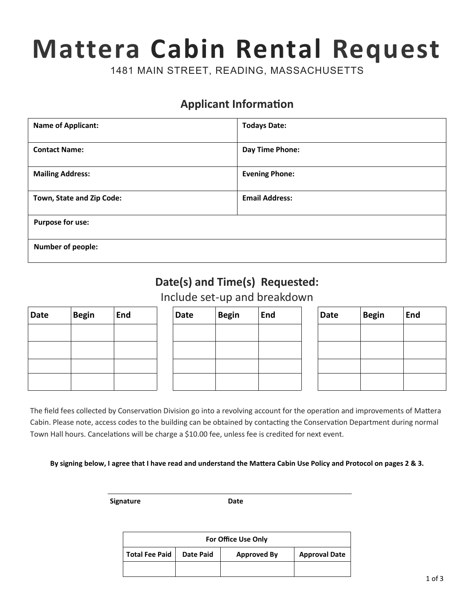## **Mattera Cabin Rental Request**

1481 MAIN STREET, READING, MASSACHUSETTS

## **Applicant Information**

| <b>Name of Applicant:</b> | <b>Todays Date:</b>   |  |  |  |
|---------------------------|-----------------------|--|--|--|
| <b>Contact Name:</b>      | Day Time Phone:       |  |  |  |
| <b>Mailing Address:</b>   | <b>Evening Phone:</b> |  |  |  |
| Town, State and Zip Code: | <b>Email Address:</b> |  |  |  |
| <b>Purpose for use:</b>   |                       |  |  |  |
| <b>Number of people:</b>  |                       |  |  |  |

## **Date(s) and Time(s) Requested:**

Include set-up and breakdown

| <b>Date</b> | <b>Begin</b> | <b>End</b> |  |  |
|-------------|--------------|------------|--|--|
|             |              |            |  |  |
|             |              |            |  |  |
|             |              |            |  |  |
|             |              |            |  |  |

| <b>Date</b> | <b>Begin</b> | End | Date | <b>Begin</b> | End | <b>Date</b> | <b>Begin</b> | End |
|-------------|--------------|-----|------|--------------|-----|-------------|--------------|-----|
|             |              |     |      |              |     |             |              |     |
|             |              |     |      |              |     |             |              |     |
|             |              |     |      |              |     |             |              |     |
|             |              |     |      |              |     |             |              |     |

| <b>Date</b> | <b>Begin</b> | <b>End</b> |  |  |
|-------------|--------------|------------|--|--|
|             |              |            |  |  |
|             |              |            |  |  |
|             |              |            |  |  |
|             |              |            |  |  |

The field fees collected by Conservation Division go into a revolving account for the operation and improvements of Mattera Cabin. Please note, access codes to the building can be obtained by contacting the Conservation Department during normal Town Hall hours. Cancelations will be charge a \$10.00 fee, unless fee is credited for next event.

**By signing below, I agree that I have read and understand the Mattera Cabin Use Policy and Protocol on pages 2 & 3.**

**Signature Date** 

| For Office Use Only   |           |                    |                      |  |  |  |
|-----------------------|-----------|--------------------|----------------------|--|--|--|
| <b>Total Fee Paid</b> | Date Paid | <b>Approved By</b> | <b>Approval Date</b> |  |  |  |
|                       |           |                    |                      |  |  |  |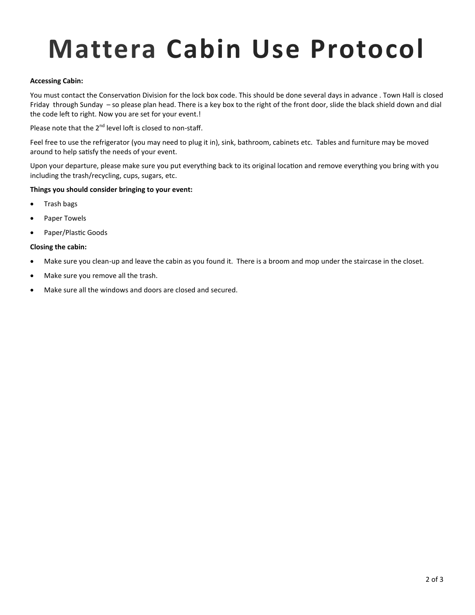## **Mattera Cabin Use Protocol**

#### **Accessing Cabin:**

You must contact the Conservation Division for the lock box code. This should be done several days in advance . Town Hall is closed Friday through Sunday – so please plan head. There is a key box to the right of the front door, slide the black shield down and dial the code left to right. Now you are set for your event.!

Please note that the  $2^{nd}$  level loft is closed to non-staff.

Feel free to use the refrigerator (you may need to plug it in), sink, bathroom, cabinets etc. Tables and furniture may be moved around to help satisfy the needs of your event.

Upon your departure, please make sure you put everything back to its original location and remove everything you bring with you including the trash/recycling, cups, sugars, etc.

#### **Things you should consider bringing to your event:**

- Trash bags
- Paper Towels
- Paper/Plastic Goods

#### **Closing the cabin:**

- Make sure you clean-up and leave the cabin as you found it. There is a broom and mop under the staircase in the closet.
- Make sure you remove all the trash.
- Make sure all the windows and doors are closed and secured.